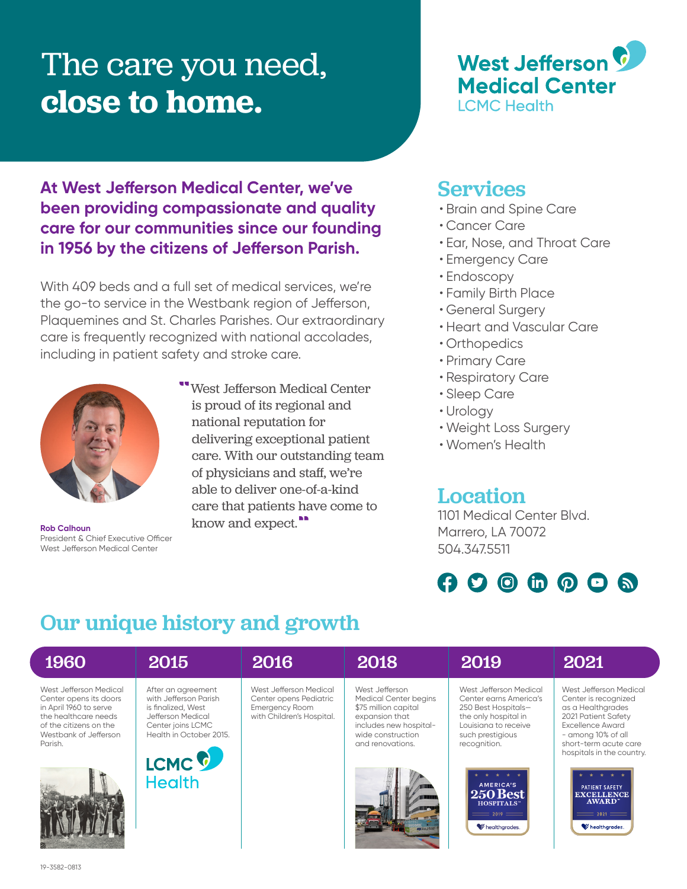# The care you need, **close to home.**



### **At West Jefferson Medical Center, we've been providing compassionate and quality care for our communities since our founding in 1956 by the citizens of Jefferson Parish.**

With 409 beds and a full set of medical services, we're the go-to service in the Westbank region of Jefferson, Plaquemines and St. Charles Parishes. Our extraordinary care is frequently recognized with national accolades, including in patient safety and stroke care.



President & Chief Executive Officer West Jefferson Medical Center

"West Jefferson Medical Center is proud of its regional and national reputation for delivering exceptional patient care. With our outstanding team of physicians and staff, we're able to deliver one-of-a-kind care that patients have come to **Rob Calhoun** know and expect.<sup>11</sup>

### Services

- Brain and Spine Care
- Cancer Care
- Ear, Nose, and Throat Care
- Emergency Care
- Endoscopy
- Family Birth Place
- General Surgery
- Heart and Vascular Care
- Orthopedics
- Primary Care
- Respiratory Care
- Sleep Care
- Urology
- Weight Loss Surgery
- Women's Health

### Location

1101 Medical Center Blvd. Marrero, LA 70072 504.347.5511

## $\boldsymbol{\Omega}$   $\boldsymbol{\Omega}$   $\boldsymbol{\Theta}$  in  $\boldsymbol{\Omega}$   $\boldsymbol{\Omega}$  in

## Our unique history and growth

| 1960                                                                                                                                                             | 2015                                                                                                                                                                         | 2016                                                                                                   | 2018                                                                                                                                                        | 2019                                                                                                                                                                                                                                            | 2021                                                                                                                                                                                                                                                                                   |
|------------------------------------------------------------------------------------------------------------------------------------------------------------------|------------------------------------------------------------------------------------------------------------------------------------------------------------------------------|--------------------------------------------------------------------------------------------------------|-------------------------------------------------------------------------------------------------------------------------------------------------------------|-------------------------------------------------------------------------------------------------------------------------------------------------------------------------------------------------------------------------------------------------|----------------------------------------------------------------------------------------------------------------------------------------------------------------------------------------------------------------------------------------------------------------------------------------|
| West Jefferson Medical<br>Center opens its doors<br>in April 1960 to serve<br>the healthcare needs<br>of the citizens on the<br>Westbank of Jefferson<br>Parish. | After an agreement<br>with Jefferson Parish<br>is finalized. West<br>Jefferson Medical<br>Center joins LCMC<br>Health in October 2015.<br>LCMC <sup>C</sup><br><b>Health</b> | West Jefferson Medical<br>Center opens Pediatric<br><b>Emergency Room</b><br>with Children's Hospital. | West Jefferson<br><b>Medical Center begins</b><br>\$75 million capital<br>expansion that<br>includes new hospital-<br>wide construction<br>and renovations. | West Jefferson Medical<br>Center earns America's<br>250 Best Hospitals-<br>the only hospital in<br>Louisiana to receive<br>such prestigious<br>recognition.<br>AMERICA'S<br>  250 Best<br>HOSPITALS"<br>$\equiv$ 2019 $\equiv$<br>healthgrades. | West Jefferson Medical<br>Center is recognized<br>as a Healthgrades<br>2021 Patient Safety<br>Excellence Award<br>- among 10% of all<br>short-term acute care<br>hospitals in the country.<br>PATIENT SAFETY<br><b>EXCELLENCE</b><br>AWARD"<br>$\equiv$ 2021 $\equiv$<br>healthgrades. |